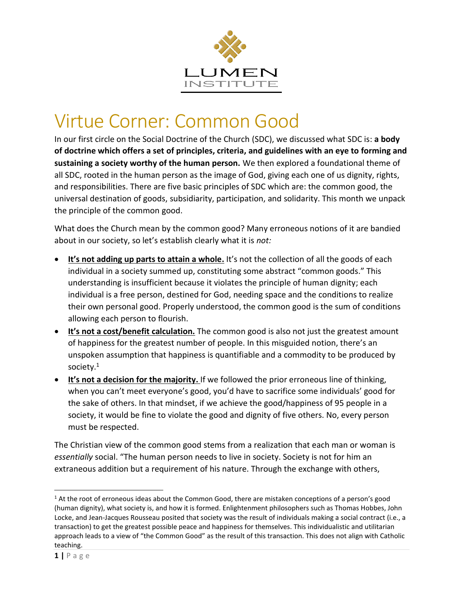

## Virtue Corner: Common Good

In our first circle on the Social Doctrine of the Church (SDC), we discussed what SDC is: **a body of doctrine which offers a set of principles, criteria, and guidelines with an eye to forming and sustaining a society worthy of the human person.** We then explored a foundational theme of all SDC, rooted in the human person as the image of God, giving each one of us dignity, rights, and responsibilities. There are five basic principles of SDC which are: the common good, the universal destination of goods, subsidiarity, participation, and solidarity. This month we unpack the principle of the common good.

What does the Church mean by the common good? Many erroneous notions of it are bandied about in our society, so let's establish clearly what it is *not:*

- **It's not adding up parts to attain a whole.** It's not the collection of all the goods of each individual in a society summed up, constituting some abstract "common goods." This understanding is insufficient because it violates the principle of human dignity; each individual is a free person, destined for God, needing space and the conditions to realize their own personal good. Properly understood, the common good is the sum of conditions allowing each person to flourish.
- **It's not a cost/benefit calculation.** The common good is also not just the greatest amount of happiness for the greatest number of people. In this misguided notion, there's an unspoken assumption that happiness is quantifiable and a commodity to be produced by society. $^1$
- **It's not a decision for the majority.** If we followed the prior erroneous line of thinking, when you can't meet everyone's good, you'd have to sacrifice some individuals' good for the sake of others. In that mindset, if we achieve the good/happiness of 95 people in a society, it would be fine to violate the good and dignity of five others. No, every person must be respected.

The Christian view of the common good stems from a realization that each man or woman is *essentially* social. "The human person needs to live in society. Society is not for him an extraneous addition but a requirement of his nature. Through the exchange with others,

 $1$  At the root of erroneous ideas about the Common Good, there are mistaken conceptions of a person's good (human dignity), what society is, and how it is formed. Enlightenment philosophers such as Thomas Hobbes, John Locke, and Jean-Jacques Rousseau posited that society was the result of individuals making a social contract (i.e., a transaction) to get the greatest possible peace and happiness for themselves. This individualistic and utilitarian approach leads to a view of "the Common Good" as the result of this transaction. This does not align with Catholic teaching.

**<sup>1</sup> |** P a g e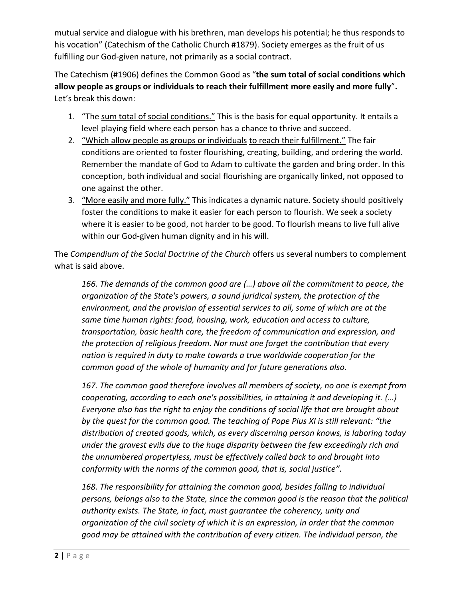mutual service and dialogue with his brethren, man develops his potential; he thus responds to his vocation" (Catechism of the Catholic Church #1879). Society emerges as the fruit of us fulfilling our God-given nature, not primarily as a social contract.

The Catechism (#1906) defines the Common Good as "**the sum total of social conditions which allow people as groups or individuals to reach their fulfillment more easily and more fully**"**.** Let's break this down:

- 1. "The sum total of social conditions." This is the basis for equal opportunity. It entails a level playing field where each person has a chance to thrive and succeed.
- 2. "Which allow people as groups or individuals to reach their fulfillment." The fair conditions are oriented to foster flourishing, creating, building, and ordering the world. Remember the mandate of God to Adam to cultivate the garden and bring order. In this conception, both individual and social flourishing are organically linked, not opposed to one against the other.
- 3. "More easily and more fully." This indicates a dynamic nature. Society should positively foster the conditions to make it easier for each person to flourish. We seek a society where it is easier to be good, not harder to be good. To flourish means to live full alive within our God-given human dignity and in his will.

The *Compendium of the Social Doctrine of the Church* offers us several numbers to complement what is said above.

*166. The demands of the common good are (…) above all the commitment to peace, the organization of the State's powers, a sound juridical system, the protection of the environment, and the provision of essential services to all, some of which are at the same time human rights: food, housing, work, education and access to culture, transportation, basic health care, the freedom of communication and expression, and the protection of religious freedom. Nor must one forget the contribution that every nation is required in duty to make towards a true worldwide cooperation for the common good of the whole of humanity and for future generations also.* 

*167. The common good therefore involves all members of society, no one is exempt from cooperating, according to each one's possibilities, in attaining it and developing it. (...) Everyone also has the right to enjoy the conditions of social life that are brought about by the quest for the common good. The teaching of Pope Pius XI is still relevant: "the distribution of created goods, which, as every discerning person knows, is laboring today under the gravest evils due to the huge disparity between the few exceedingly rich and the unnumbered propertyless, must be effectively called back to and brought into conformity with the norms of the common good, that is, social justice".*

168. The responsibility for attaining the common good, besides falling to individual *persons, belongs also to the State, since the common good is the reason that the political authority exists. The State, in fact, must guarantee the coherency, unity and organization of the civil society of which it is an expression, in order that the common good may be attained with the contribution of every citizen. The individual person, the*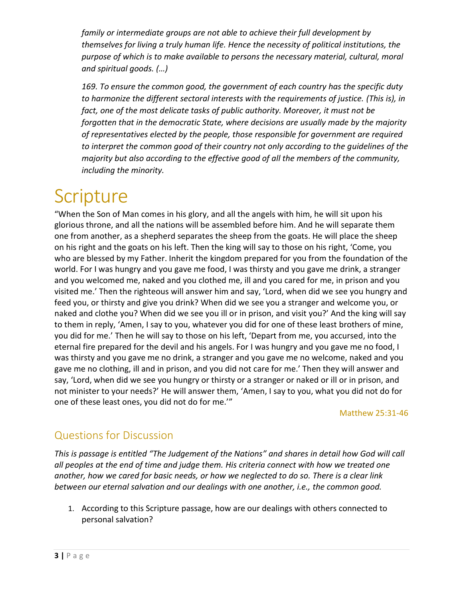*family or intermediate groups are not able to achieve their full development by themselves for living a truly human life. Hence the necessity of political institutions, the purpose of which is to make available to persons the necessary material, cultural, moral and spiritual goods. (…)* 

*169. To ensure the common good, the government of each country has the specific duty to harmonize the different sectoral interests with the requirements of justice. (This is), in fact, one of the most delicate tasks of public authority. Moreover, it must not be forgotten that in the democratic State, where decisions are usually made by the majority of representatives elected by the people, those responsible for government are required to interpret the common good of their country not only according to the guidelines of the majority but also according to the effective good of all the members of the community, including the minority.*

## **Scripture**

"When the Son of Man comes in his glory, and all the angels with him, he will sit upon his glorious throne, and all the nations will be assembled before him. And he will separate them one from another, as a shepherd separates the sheep from the goats. He will place the sheep on his right and the goats on his left. Then the king will say to those on his right, 'Come, you who are blessed by my Father. Inherit the kingdom prepared for you from the foundation of the world. For I was hungry and you gave me food, I was thirsty and you gave me drink, a stranger and you welcomed me, naked and you clothed me, ill and you cared for me, in prison and you visited me.' Then the righteous will answer him and say, 'Lord, when did we see you hungry and feed you, or thirsty and give you drink? When did we see you a stranger and welcome you, or naked and clothe you? When did we see you ill or in prison, and visit you?' And the king will say to them in reply, 'Amen, I say to you, whatever you did for one of these least brothers of mine, you did for me.' Then he will say to those on his left, 'Depart from me, you accursed, into the eternal fire prepared for the devil and his angels. For I was hungry and you gave me no food, I was thirsty and you gave me no drink, a stranger and you gave me no welcome, naked and you gave me no clothing, ill and in prison, and you did not care for me.' Then they will answer and say, 'Lord, when did we see you hungry or thirsty or a stranger or naked or ill or in prison, and not minister to your needs?' He will answer them, 'Amen, I say to you, what you did not do for one of these least ones, you did not do for me.'"

Matthew 25:31-46

## Questions for Discussion

*This is passage is entitled "The Judgement of the Nations" and shares in detail how God will call all peoples at the end of time and judge them. His criteria connect with how we treated one another, how we cared for basic needs, or how we neglected to do so. There is a clear link between our eternal salvation and our dealings with one another, i.e., the common good.* 

1. According to this Scripture passage, how are our dealings with others connected to personal salvation?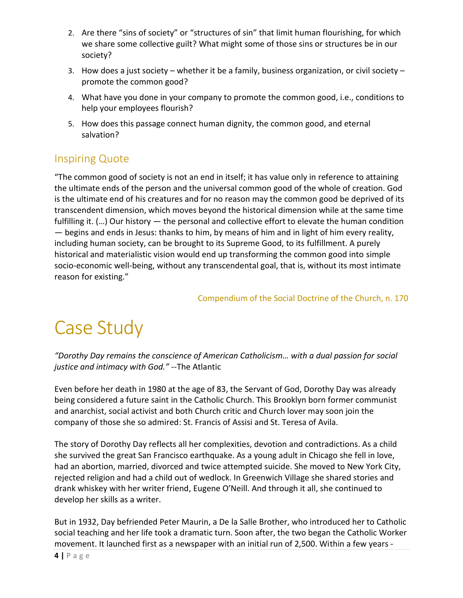- 2. Are there "sins of society" or "structures of sin" that limit human flourishing, for which we share some collective guilt? What might some of those sins or structures be in our society?
- 3. How does a just society whether it be a family, business organization, or civil society promote the common good?
- 4. What have you done in your company to promote the common good, i.e., conditions to help your employees flourish?
- 5. How does this passage connect human dignity, the common good, and eternal salvation?

### Inspiring Quote

"The common good of society is not an end in itself; it has value only in reference to attaining the ultimate ends of the person and the universal common good of the whole of creation. God is the ultimate end of his creatures and for no reason may the common good be deprived of its transcendent dimension, which moves beyond the historical dimension while at the same time fulfilling it. (...) Our history — the personal and collective effort to elevate the human condition — begins and ends in Jesus: thanks to him, by means of him and in light of him every reality, including human society, can be brought to its Supreme Good, to its fulfillment. A purely historical and materialistic vision would end up transforming the common good into simple socio-economic well-being, without any transcendental goal, that is, without its most intimate reason for existing."

#### Compendium of the Social Doctrine of the Church, n. 170

# Case Study

"Dorothy Day remains the conscience of American Catholicism... with a dual passion for social *justice and intimacy with God."* --The Atlantic

Even before her death in 1980 at the age of 83, the Servant of God, Dorothy Day was already being considered a future saint in the Catholic Church. This Brooklyn born former communist and anarchist, social activist and both Church critic and Church lover may soon join the company of those she so admired: St. Francis of Assisi and St. Teresa of Avila.

The story of Dorothy Day reflects all her complexities, devotion and contradictions. As a child she survived the great San Francisco earthquake. As a young adult in Chicago she fell in love, had an abortion, married, divorced and twice attempted suicide. She moved to New York City, rejected religion and had a child out of wedlock. In Greenwich Village she shared stories and drank whiskey with her writer friend, Eugene O'Neill. And through it all, she continued to develop her skills as a writer.

But in 1932, Day befriended Peter Maurin, a De la Salle Brother, who introduced her to Catholic social teaching and her life took a dramatic turn. Soon after, the two began the Catholic Worker movement. It launched first as a newspaper with an initial run of 2,500. Within a few years -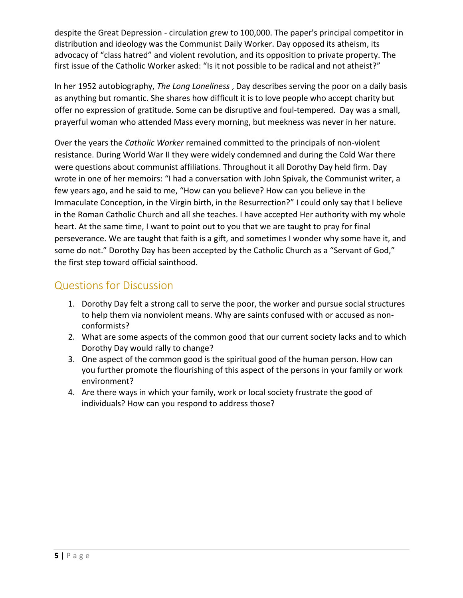despite the Great Depression - circulation grew to 100,000. The paper's principal competitor in distribution and ideology was the Communist [Daily Worker.](https://en.wikipedia.org/wiki/Daily_Worker) Day opposed its atheism, its advocacy of "class hatred" and violent revolution, and its opposition to private property. The first issue of the Catholic Worker asked: "Is it not possible to be radical and not atheist?"

In her 1952 autobiography, *[The Long Loneliness](https://en.wikipedia.org/wiki/The_Long_Loneliness)* , Day describes serving the poor on a daily basis as anything but romantic. She shares how difficult it is to love people who accept charity but offer no expression of gratitude. Some can be disruptive and foul-tempered. Day was a small, prayerful woman who attended Mass every morning, but meekness was never in her nature.

Over the years the *Catholic Worker* remained committed to the principals of non-violent resistance. During World War II they were widely condemned and during the Cold War there were questions about communist affiliations. Throughout it all Dorothy Day held firm. Day wrote in one of her memoirs: "I had a conversation with [John Spivak,](https://en.wikipedia.org/wiki/John_Spivak) the Communist writer, a few years ago, and he said to me, "How can you believe? How can you believe in the Immaculate Conception, in the Virgin birth, in the Resurrection?" I could only say that I believe in the Roman Catholic Church and all she teaches. I have accepted Her authority with my whole heart. At the same time, I want to point out to you that we are taught to pray for final perseverance. We are taught that faith is a gift, and sometimes I wonder why some have it, and some do not." Dorothy Day has been accepted by the Catholic Church as a "Servant of God," the first step toward official sainthood.

## Questions for Discussion

- 1. Dorothy Day felt a strong call to serve the poor, the worker and pursue social structures to help them via nonviolent means. Why are saints confused with or accused as nonconformists?
- 2. What are some aspects of the common good that our current society lacks and to which Dorothy Day would rally to change?
- 3. One aspect of the common good is the spiritual good of the human person. How can you further promote the flourishing of this aspect of the persons in your family or work environment?
- 4. Are there ways in which your family, work or local society frustrate the good of individuals? How can you respond to address those?